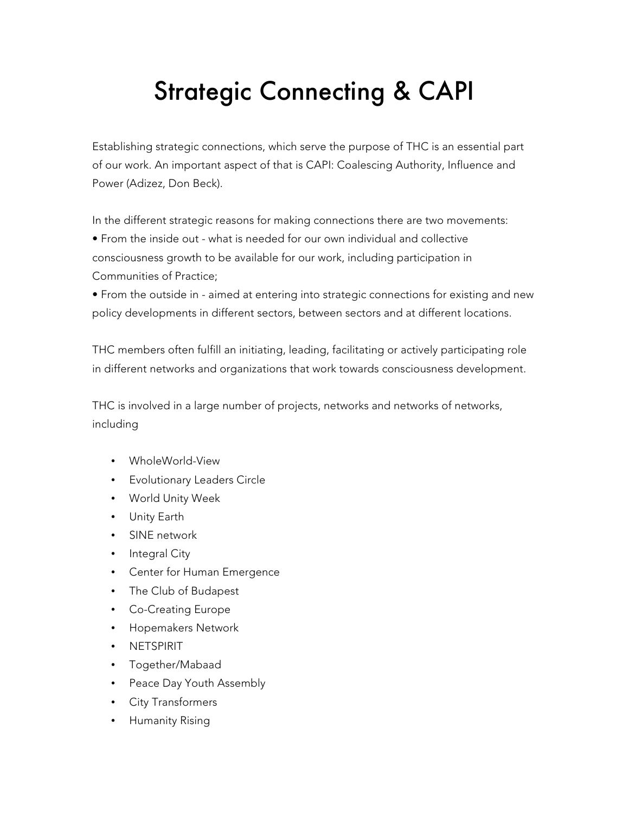## Strategic Connecting & CAPI

Establishing strategic connections, which serve the purpose of THC is an essential part of our work. An important aspect of that is CAPI: Coalescing Authority, Influence and Power (Adizez, Don Beck).

In the different strategic reasons for making connections there are two movements:

• From the inside out - what is needed for our own individual and collective consciousness growth to be available for our work, including participation in Communities of Practice;

• From the outside in - aimed at entering into strategic connections for existing and new policy developments in different sectors, between sectors and at different locations.

THC members often fulfill an initiating, leading, facilitating or actively participating role in different networks and organizations that work towards consciousness development.

THC is involved in a large number of projects, networks and networks of networks, including

- WholeWorld-View
- Evolutionary Leaders Circle
- World Unity Week
- Unity Earth
- SINE network
- Integral City
- Center for Human Emergence
- The Club of Budapest
- Co-Creating Europe
- Hopemakers Network
- NETSPIRIT
- Together/Mabaad
- Peace Day Youth Assembly
- City Transformers
- Humanity Rising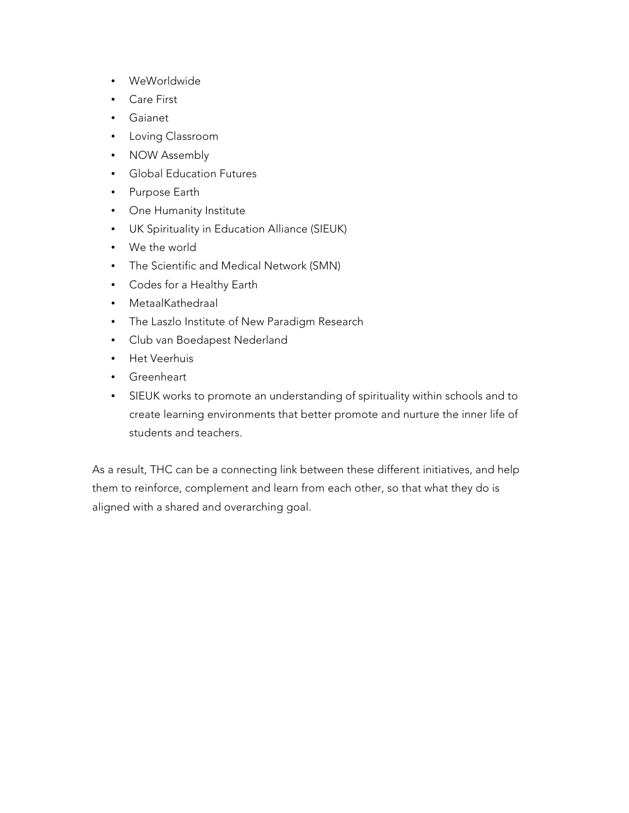- WeWorldwide
- Care First
- Gaianet
- Loving Classroom
- NOW Assembly
- Global Education Futures
- Purpose Earth
- One Humanity Institute
- UK Spirituality in Education Alliance (SIEUK)
- We the world
- The Scientific and Medical Network (SMN)
- Codes for a Healthy Earth
- MetaalKathedraal
- The Laszlo Institute of New Paradigm Research
- Club van Boedapest Nederland
- Het Veerhuis
- Greenheart
- SIEUK works to promote an understanding of spirituality within schools and to create learning environments that better promote and nurture the inner life of students and teachers.

As a result, THC can be a connecting link between these different initiatives, and help them to reinforce, complement and learn from each other, so that what they do is aligned with a shared and overarching goal.